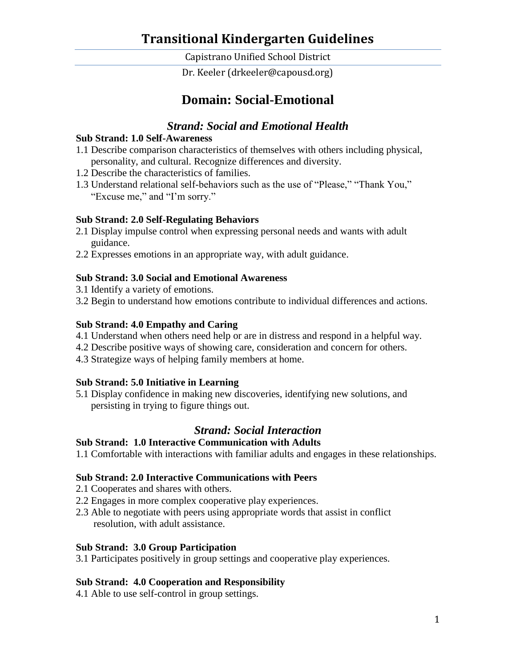Capistrano Unified School District

Dr. Keeler (drkeeler@capousd.org)

## **Domain: Social-Emotional**

## *Strand: Social and Emotional Health*

#### **Sub Strand: 1.0 Self-Awareness**

- 1.1 Describe comparison characteristics of themselves with others including physical, personality, and cultural. Recognize differences and diversity.
- 1.2 Describe the characteristics of families.
- 1.3 Understand relational self-behaviors such as the use of "Please," "Thank You," "Excuse me," and "I'm sorry."

#### **Sub Strand: 2.0 Self-Regulating Behaviors**

- 2.1 Display impulse control when expressing personal needs and wants with adult guidance.
- 2.2 Expresses emotions in an appropriate way, with adult guidance.

#### **Sub Strand: 3.0 Social and Emotional Awareness**

- 3.1 Identify a variety of emotions.
- 3.2 Begin to understand how emotions contribute to individual differences and actions.

#### **Sub Strand: 4.0 Empathy and Caring**

- 4.1 Understand when others need help or are in distress and respond in a helpful way.
- 4.2 Describe positive ways of showing care, consideration and concern for others.
- 4.3 Strategize ways of helping family members at home.

#### **Sub Strand: 5.0 Initiative in Learning**

5.1 Display confidence in making new discoveries, identifying new solutions, and persisting in trying to figure things out.

## *Strand: Social Interaction*

#### **Sub Strand: 1.0 Interactive Communication with Adults**

1.1 Comfortable with interactions with familiar adults and engages in these relationships.

#### **Sub Strand: 2.0 Interactive Communications with Peers**

- 2.1 Cooperates and shares with others.
- 2.2 Engages in more complex cooperative play experiences.
- 2.3 Able to negotiate with peers using appropriate words that assist in conflict resolution, with adult assistance.

#### **Sub Strand: 3.0 Group Participation**

3.1 Participates positively in group settings and cooperative play experiences.

#### **Sub Strand: 4.0 Cooperation and Responsibility**

4.1 Able to use self-control in group settings.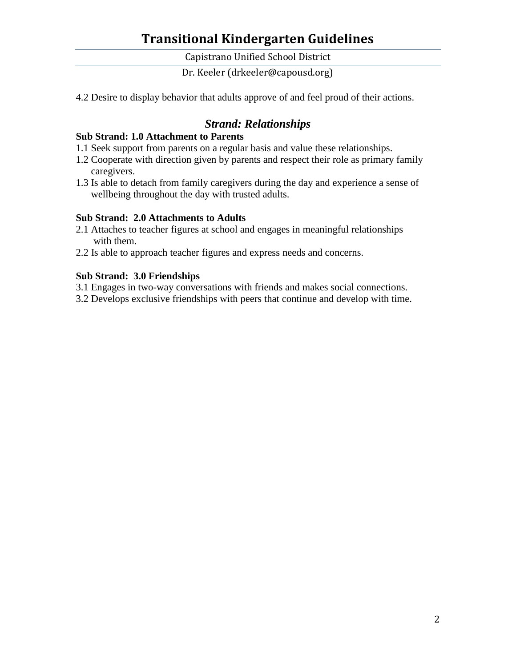Capistrano Unified School District

Dr. Keeler (drkeeler@capousd.org)

4.2 Desire to display behavior that adults approve of and feel proud of their actions.

## *Strand: Relationships*

#### **Sub Strand: 1.0 Attachment to Parents**

- 1.1 Seek support from parents on a regular basis and value these relationships.
- 1.2 Cooperate with direction given by parents and respect their role as primary family caregivers.
- 1.3 Is able to detach from family caregivers during the day and experience a sense of wellbeing throughout the day with trusted adults.

#### **Sub Strand: 2.0 Attachments to Adults**

- 2.1 Attaches to teacher figures at school and engages in meaningful relationships with them.
- 2.2 Is able to approach teacher figures and express needs and concerns.

#### **Sub Strand: 3.0 Friendships**

- 3.1 Engages in two-way conversations with friends and makes social connections.
- 3.2 Develops exclusive friendships with peers that continue and develop with time.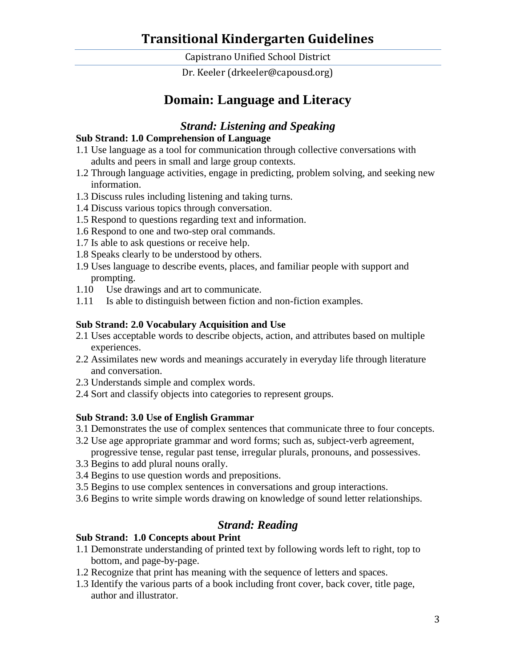Capistrano Unified School District

Dr. Keeler (drkeeler@capousd.org)

# **Domain: Language and Literacy**

### *Strand: Listening and Speaking*

#### **Sub Strand: 1.0 Comprehension of Language**

- 1.1 Use language as a tool for communication through collective conversations with adults and peers in small and large group contexts.
- 1.2 Through language activities, engage in predicting, problem solving, and seeking new information.
- 1.3 Discuss rules including listening and taking turns.
- 1.4 Discuss various topics through conversation.
- 1.5 Respond to questions regarding text and information.
- 1.6 Respond to one and two-step oral commands.
- 1.7 Is able to ask questions or receive help.
- 1.8 Speaks clearly to be understood by others.
- 1.9 Uses language to describe events, places, and familiar people with support and prompting.
- 1.10 Use drawings and art to communicate.
- 1.11 Is able to distinguish between fiction and non-fiction examples.

#### **Sub Strand: 2.0 Vocabulary Acquisition and Use**

- 2.1 Uses acceptable words to describe objects, action, and attributes based on multiple experiences.
- 2.2 Assimilates new words and meanings accurately in everyday life through literature and conversation.
- 2.3 Understands simple and complex words.
- 2.4 Sort and classify objects into categories to represent groups.

#### **Sub Strand: 3.0 Use of English Grammar**

- 3.1 Demonstrates the use of complex sentences that communicate three to four concepts.
- 3.2 Use age appropriate grammar and word forms; such as, subject-verb agreement, progressive tense, regular past tense, irregular plurals, pronouns, and possessives.
- 3.3 Begins to add plural nouns orally.
- 3.4 Begins to use question words and prepositions.
- 3.5 Begins to use complex sentences in conversations and group interactions.
- 3.6 Begins to write simple words drawing on knowledge of sound letter relationships.

### *Strand: Reading*

#### **Sub Strand: 1.0 Concepts about Print**

- 1.1 Demonstrate understanding of printed text by following words left to right, top to bottom, and page-by-page.
- 1.2 Recognize that print has meaning with the sequence of letters and spaces.
- 1.3 Identify the various parts of a book including front cover, back cover, title page, author and illustrator.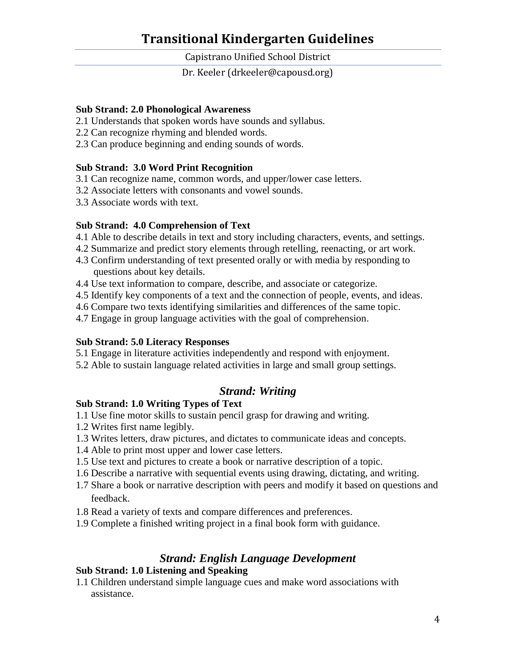Capistrano Unified School District

Dr. Keeler (drkeeler@capousd.org)

#### **Sub Strand: 2.0 Phonological Awareness**

- 2.1 Understands that spoken words have sounds and syllabus.
- 2.2 Can recognize rhyming and blended words.
- 2.3 Can produce beginning and ending sounds of words.

#### **Sub Strand: 3.0 Word Print Recognition**

- 3.1 Can recognize name, common words, and upper/lower case letters.
- 3.2 Associate letters with consonants and vowel sounds.
- 3.3 Associate words with text.

#### **Sub Strand: 4.0 Comprehension of Text**

- 4.1 Able to describe details in text and story including characters, events, and settings.
- 4.2 Summarize and predict story elements through retelling, reenacting, or art work.
- 4.3 Confirm understanding of text presented orally or with media by responding to questions about key details.
- 4.4 Use text information to compare, describe, and associate or categorize.
- 4.5 Identify key components of a text and the connection of people, events, and ideas.
- 4.6 Compare two texts identifying similarities and differences of the same topic.
- 4.7 Engage in group language activities with the goal of comprehension.

#### **Sub Strand: 5.0 Literacy Responses**

- 5.1 Engage in literature activities independently and respond with enjoyment.
- 5.2 Able to sustain language related activities in large and small group settings.

#### *Strand: Writing*

#### **Sub Strand: 1.0 Writing Types of Text**

- 1.1 Use fine motor skills to sustain pencil grasp for drawing and writing.
- 1.2 Writes first name legibly.
- 1.3 Writes letters, draw pictures, and dictates to communicate ideas and concepts.
- 1.4 Able to print most upper and lower case letters.
- 1.5 Use text and pictures to create a book or narrative description of a topic.
- 1.6 Describe a narrative with sequential events using drawing, dictating, and writing.
- 1.7 Share a book or narrative description with peers and modify it based on questions and feedback.
- 1.8 Read a variety of texts and compare differences and preferences.
- 1.9 Complete a finished writing project in a final book form with guidance.

### *Strand: English Language Development*

#### **Sub Strand: 1.0 Listening and Speaking**

1.1 Children understand simple language cues and make word associations with assistance.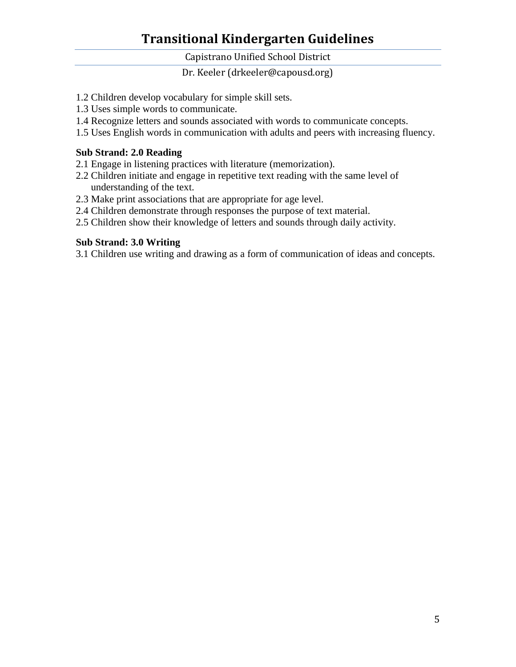Capistrano Unified School District

Dr. Keeler (drkeeler@capousd.org)

- 1.2 Children develop vocabulary for simple skill sets.
- 1.3 Uses simple words to communicate.
- 1.4 Recognize letters and sounds associated with words to communicate concepts.
- 1.5 Uses English words in communication with adults and peers with increasing fluency.

#### **Sub Strand: 2.0 Reading**

- 2.1 Engage in listening practices with literature (memorization).
- 2.2 Children initiate and engage in repetitive text reading with the same level of understanding of the text.
- 2.3 Make print associations that are appropriate for age level.
- 2.4 Children demonstrate through responses the purpose of text material.
- 2.5 Children show their knowledge of letters and sounds through daily activity.

#### **Sub Strand: 3.0 Writing**

3.1 Children use writing and drawing as a form of communication of ideas and concepts.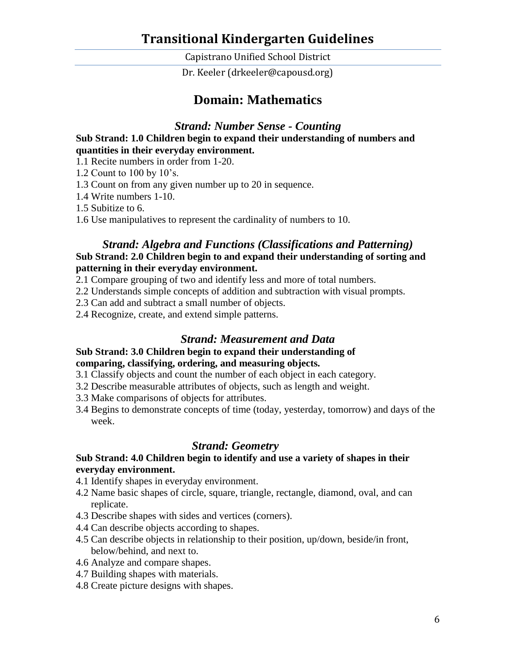Capistrano Unified School District

Dr. Keeler (drkeeler@capousd.org)

## **Domain: Mathematics**

*Strand: Number Sense - Counting*

#### **Sub Strand: 1.0 Children begin to expand their understanding of numbers and quantities in their everyday environment.**

1.1 Recite numbers in order from 1-20.

- 1.2 Count to 100 by 10's.
- 1.3 Count on from any given number up to 20 in sequence.
- 1.4 Write numbers 1-10.
- 1.5 Subitize to 6.
- 1.6 Use manipulatives to represent the cardinality of numbers to 10.

#### *Strand: Algebra and Functions (Classifications and Patterning)* **Sub Strand: 2.0 Children begin to and expand their understanding of sorting and patterning in their everyday environment.**

- 2.1 Compare grouping of two and identify less and more of total numbers.
- 2.2 Understands simple concepts of addition and subtraction with visual prompts.
- 2.3 Can add and subtract a small number of objects.
- 2.4 Recognize, create, and extend simple patterns.

#### *Strand: Measurement and Data*

#### **Sub Strand: 3.0 Children begin to expand their understanding of comparing, classifying, ordering, and measuring objects.**

- 3.1 Classify objects and count the number of each object in each category.
- 3.2 Describe measurable attributes of objects, such as length and weight.
- 3.3 Make comparisons of objects for attributes.
- 3.4 Begins to demonstrate concepts of time (today, yesterday, tomorrow) and days of the week.

### *Strand: Geometry*

#### **Sub Strand: 4.0 Children begin to identify and use a variety of shapes in their everyday environment.**

- 4.1 Identify shapes in everyday environment.
- 4.2 Name basic shapes of circle, square, triangle, rectangle, diamond, oval, and can replicate.
- 4.3 Describe shapes with sides and vertices (corners).
- 4.4 Can describe objects according to shapes.
- 4.5 Can describe objects in relationship to their position, up/down, beside/in front, below/behind, and next to.
- 4.6 Analyze and compare shapes.
- 4.7 Building shapes with materials.
- 4.8 Create picture designs with shapes.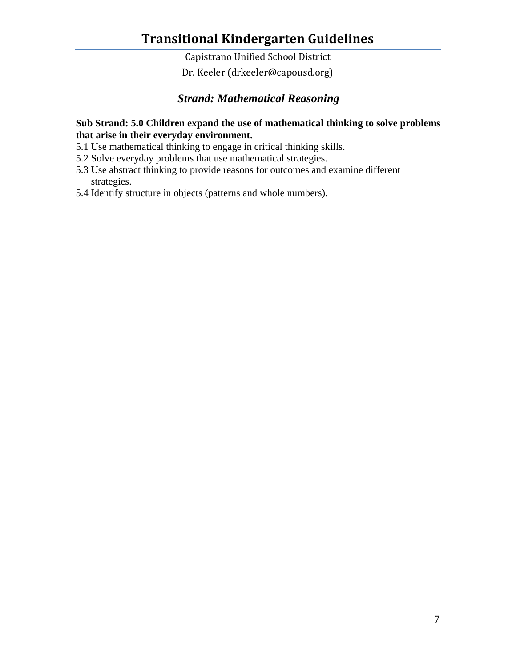Capistrano Unified School District

Dr. Keeler (drkeeler@capousd.org)

## *Strand: Mathematical Reasoning*

#### **Sub Strand: 5.0 Children expand the use of mathematical thinking to solve problems that arise in their everyday environment.**

- 5.1 Use mathematical thinking to engage in critical thinking skills.
- 5.2 Solve everyday problems that use mathematical strategies.
- 5.3 Use abstract thinking to provide reasons for outcomes and examine different strategies.
- 5.4 Identify structure in objects (patterns and whole numbers).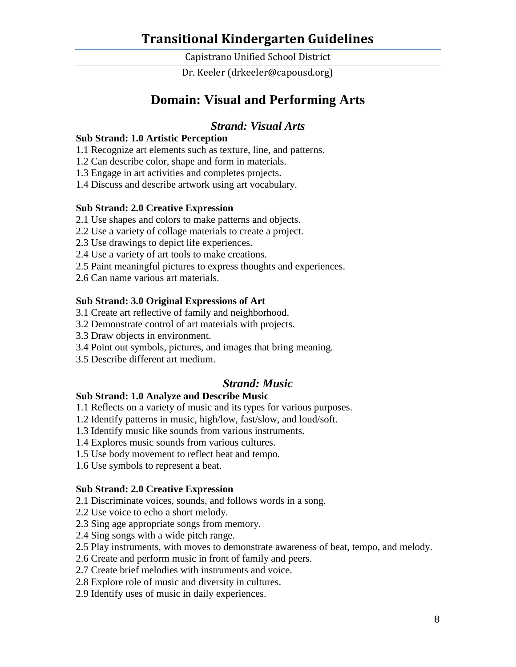Capistrano Unified School District

Dr. Keeler (drkeeler@capousd.org)

# **Domain: Visual and Performing Arts**

## *Strand: Visual Arts*

#### **Sub Strand: 1.0 Artistic Perception**

- 1.1 Recognize art elements such as texture, line, and patterns.
- 1.2 Can describe color, shape and form in materials.
- 1.3 Engage in art activities and completes projects.
- 1.4 Discuss and describe artwork using art vocabulary.

#### **Sub Strand: 2.0 Creative Expression**

- 2.1 Use shapes and colors to make patterns and objects.
- 2.2 Use a variety of collage materials to create a project.
- 2.3 Use drawings to depict life experiences.
- 2.4 Use a variety of art tools to make creations.
- 2.5 Paint meaningful pictures to express thoughts and experiences.
- 2.6 Can name various art materials.

#### **Sub Strand: 3.0 Original Expressions of Art**

- 3.1 Create art reflective of family and neighborhood.
- 3.2 Demonstrate control of art materials with projects.
- 3.3 Draw objects in environment.
- 3.4 Point out symbols, pictures, and images that bring meaning.
- 3.5 Describe different art medium.

#### *Strand: Music*

#### **Sub Strand: 1.0 Analyze and Describe Music**

- 1.1 Reflects on a variety of music and its types for various purposes.
- 1.2 Identify patterns in music, high/low, fast/slow, and loud/soft.
- 1.3 Identify music like sounds from various instruments.
- 1.4 Explores music sounds from various cultures.
- 1.5 Use body movement to reflect beat and tempo.
- 1.6 Use symbols to represent a beat.

#### **Sub Strand: 2.0 Creative Expression**

- 2.1 Discriminate voices, sounds, and follows words in a song.
- 2.2 Use voice to echo a short melody.
- 2.3 Sing age appropriate songs from memory.
- 2.4 Sing songs with a wide pitch range.
- 2.5 Play instruments, with moves to demonstrate awareness of beat, tempo, and melody.
- 2.6 Create and perform music in front of family and peers.
- 2.7 Create brief melodies with instruments and voice.
- 2.8 Explore role of music and diversity in cultures.
- 2.9 Identify uses of music in daily experiences.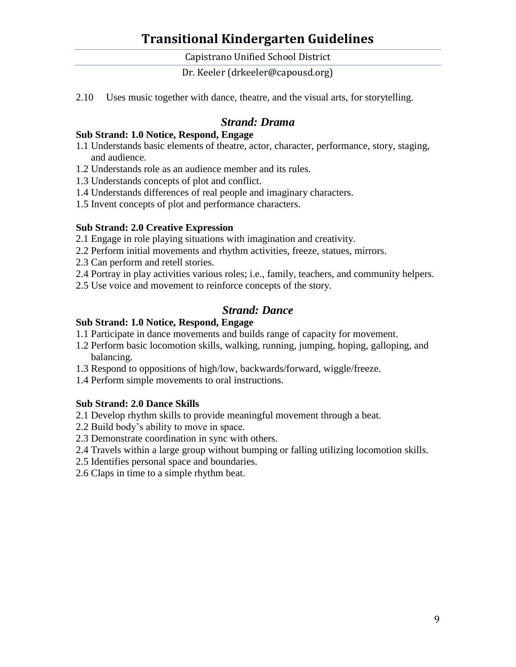Capistrano Unified School District

Dr. Keeler (drkeeler@capousd.org)

2.10 Uses music together with dance, theatre, and the visual arts, for storytelling.

### *Strand: Drama*

#### **Sub Strand: 1.0 Notice, Respond, Engage**

- 1.1 Understands basic elements of theatre, actor, character, performance, story, staging, and audience.
- 1.2 Understands role as an audience member and its rules.
- 1.3 Understands concepts of plot and conflict.
- 1.4 Understands differences of real people and imaginary characters.
- 1.5 Invent concepts of plot and performance characters.

#### **Sub Strand: 2.0 Creative Expression**

- 2.1 Engage in role playing situations with imagination and creativity.
- 2.2 Perform initial movements and rhythm activities, freeze, statues, mirrors.
- 2.3 Can perform and retell stories.
- 2.4 Portray in play activities various roles; i.e., family, teachers, and community helpers.
- 2.5 Use voice and movement to reinforce concepts of the story.

### *Strand: Dance*

#### **Sub Strand: 1.0 Notice, Respond, Engage**

- 1.1 Participate in dance movements and builds range of capacity for movement.
- 1.2 Perform basic locomotion skills, walking, running, jumping, hoping, galloping, and balancing.
- 1.3 Respond to oppositions of high/low, backwards/forward, wiggle/freeze.
- 1.4 Perform simple movements to oral instructions.

#### **Sub Strand: 2.0 Dance Skills**

- 2.1 Develop rhythm skills to provide meaningful movement through a beat.
- 2.2 Build body's ability to move in space.
- 2.3 Demonstrate coordination in sync with others.
- 2.4 Travels within a large group without bumping or falling utilizing locomotion skills.
- 2.5 Identifies personal space and boundaries.
- 2.6 Claps in time to a simple rhythm beat.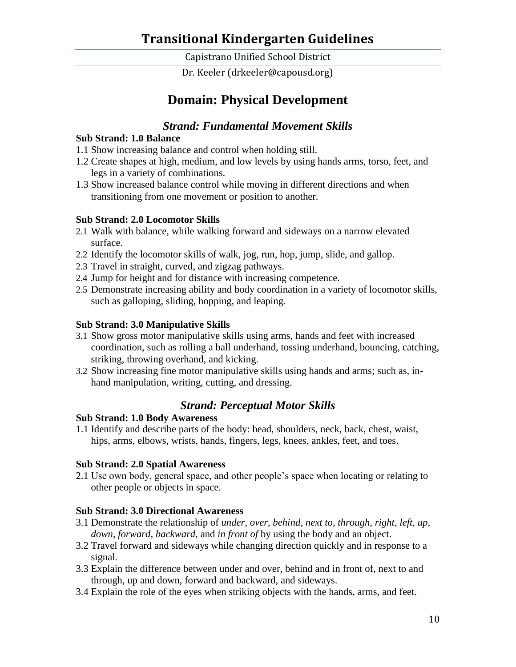Capistrano Unified School District

Dr. Keeler (drkeeler@capousd.org)

# **Domain: Physical Development**

## *Strand: Fundamental Movement Skills*

#### **Sub Strand: 1.0 Balance**

- 1.1 Show increasing balance and control when holding still.
- 1.2 Create shapes at high, medium, and low levels by using hands arms, torso, feet, and legs in a variety of combinations.
- 1.3 Show increased balance control while moving in different directions and when transitioning from one movement or position to another.

#### **Sub Strand: 2.0 Locomotor Skills**

- 2.1 Walk with balance, while walking forward and sideways on a narrow elevated surface.
- 2.2 Identify the locomotor skills of walk, jog, run, hop, jump, slide, and gallop.
- 2.3 Travel in straight, curved, and zigzag pathways.
- 2.4 Jump for height and for distance with increasing competence.
- 2.5 Demonstrate increasing ability and body coordination in a variety of locomotor skills, such as galloping, sliding, hopping, and leaping.

#### **Sub Strand: 3.0 Manipulative Skills**

- 3.1 Show gross motor manipulative skills using arms, hands and feet with increased coordination, such as rolling a ball underhand, tossing underhand, bouncing, catching, striking, throwing overhand, and kicking.
- 3.2 Show increasing fine motor manipulative skills using hands and arms; such as, inhand manipulation, writing, cutting, and dressing.

#### *Strand: Perceptual Motor Skills*

#### **Sub Strand: 1.0 Body Awareness**

1.1 Identify and describe parts of the body: head, shoulders, neck, back, chest, waist, hips, arms, elbows, wrists, hands, fingers, legs, knees, ankles, feet, and toes.

#### **Sub Strand: 2.0 Spatial Awareness**

2.1 Use own body, general space, and other people's space when locating or relating to other people or objects in space.

#### **Sub Strand: 3.0 Directional Awareness**

- 3.1 Demonstrate the relationship of *under, over, behind, next to, through, right, left, up, down, forward, backward,* and *in front of* by using the body and an object.
- 3.2 Travel forward and sideways while changing direction quickly and in response to a signal.
- 3.3 Explain the difference between under and over, behind and in front of, next to and through, up and down, forward and backward, and sideways.
- 3.4 Explain the role of the eyes when striking objects with the hands, arms, and feet.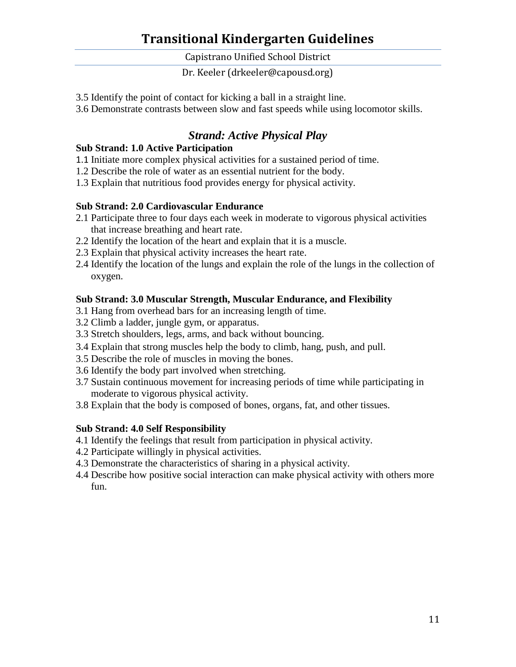Capistrano Unified School District

Dr. Keeler (drkeeler@capousd.org)

- 3.5 Identify the point of contact for kicking a ball in a straight line.
- 3.6 Demonstrate contrasts between slow and fast speeds while using locomotor skills.

# *Strand: Active Physical Play*

#### **Sub Strand: 1.0 Active Participation**

- 1.1 Initiate more complex physical activities for a sustained period of time.
- 1.2 Describe the role of water as an essential nutrient for the body.
- 1.3 Explain that nutritious food provides energy for physical activity.

#### **Sub Strand: 2.0 Cardiovascular Endurance**

- 2.1 Participate three to four days each week in moderate to vigorous physical activities that increase breathing and heart rate.
- 2.2 Identify the location of the heart and explain that it is a muscle.
- 2.3 Explain that physical activity increases the heart rate.
- 2.4 Identify the location of the lungs and explain the role of the lungs in the collection of oxygen.

#### **Sub Strand: 3.0 Muscular Strength, Muscular Endurance, and Flexibility**

- 3.1 Hang from overhead bars for an increasing length of time.
- 3.2 Climb a ladder, jungle gym, or apparatus.
- 3.3 Stretch shoulders, legs, arms, and back without bouncing.
- 3.4 Explain that strong muscles help the body to climb, hang, push, and pull.
- 3.5 Describe the role of muscles in moving the bones.
- 3.6 Identify the body part involved when stretching.
- 3.7 Sustain continuous movement for increasing periods of time while participating in moderate to vigorous physical activity.
- 3.8 Explain that the body is composed of bones, organs, fat, and other tissues.

#### **Sub Strand: 4.0 Self Responsibility**

- 4.1 Identify the feelings that result from participation in physical activity.
- 4.2 Participate willingly in physical activities.
- 4.3 Demonstrate the characteristics of sharing in a physical activity.
- 4.4 Describe how positive social interaction can make physical activity with others more fun.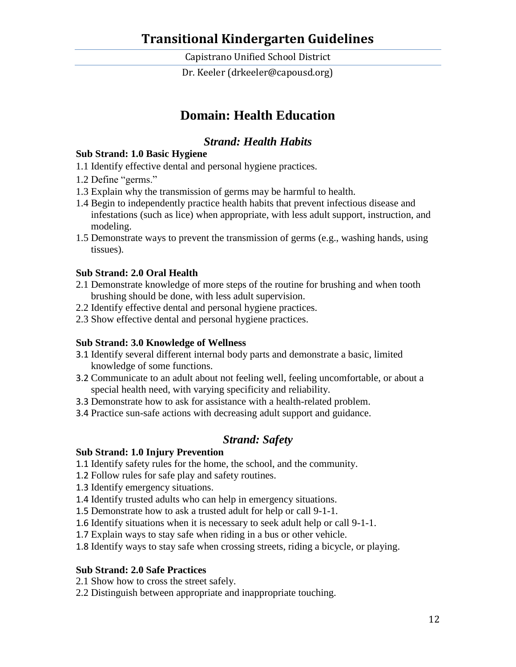Capistrano Unified School District

Dr. Keeler (drkeeler@capousd.org)

# **Domain: Health Education**

## *Strand: Health Habits*

#### **Sub Strand: 1.0 Basic Hygiene**

- 1.1 Identify effective dental and personal hygiene practices.
- 1.2 Define "germs."
- 1.3 Explain why the transmission of germs may be harmful to health.
- 1.4 Begin to independently practice health habits that prevent infectious disease and infestations (such as lice) when appropriate, with less adult support, instruction, and modeling.
- 1.5 Demonstrate ways to prevent the transmission of germs (e.g., washing hands, using tissues).

#### **Sub Strand: 2.0 Oral Health**

- 2.1 Demonstrate knowledge of more steps of the routine for brushing and when tooth brushing should be done, with less adult supervision.
- 2.2 Identify effective dental and personal hygiene practices.
- 2.3 Show effective dental and personal hygiene practices.

#### **Sub Strand: 3.0 Knowledge of Wellness**

- 3.1 Identify several different internal body parts and demonstrate a basic, limited knowledge of some functions.
- 3.2 Communicate to an adult about not feeling well, feeling uncomfortable, or about a special health need, with varying specificity and reliability.
- 3.3 Demonstrate how to ask for assistance with a health-related problem.
- 3.4 Practice sun-safe actions with decreasing adult support and guidance.

## *Strand: Safety*

#### **Sub Strand: 1.0 Injury Prevention**

- 1.1 Identify safety rules for the home, the school, and the community.
- 1.2 Follow rules for safe play and safety routines.
- 1.3 Identify emergency situations.
- 1.4 Identify trusted adults who can help in emergency situations.
- 1.5 Demonstrate how to ask a trusted adult for help or call 9-1-1.
- 1.6 Identify situations when it is necessary to seek adult help or call 9-1-1.
- 1.7 Explain ways to stay safe when riding in a bus or other vehicle.
- 1.8 Identify ways to stay safe when crossing streets, riding a bicycle, or playing.

#### **Sub Strand: 2.0 Safe Practices**

- 2.1 Show how to cross the street safely.
- 2.2 Distinguish between appropriate and inappropriate touching.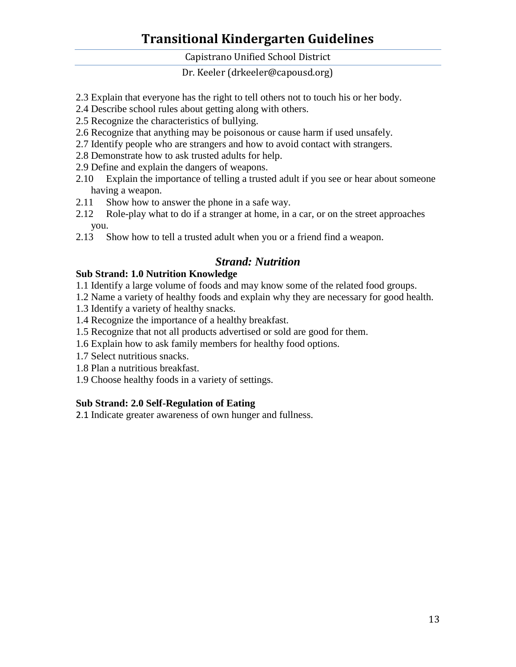Capistrano Unified School District

Dr. Keeler (drkeeler@capousd.org)

- 2.3 Explain that everyone has the right to tell others not to touch his or her body.
- 2.4 Describe school rules about getting along with others.
- 2.5 Recognize the characteristics of bullying.
- 2.6 Recognize that anything may be poisonous or cause harm if used unsafely.
- 2.7 Identify people who are strangers and how to avoid contact with strangers.
- 2.8 Demonstrate how to ask trusted adults for help.
- 2.9 Define and explain the dangers of weapons.
- 2.10 Explain the importance of telling a trusted adult if you see or hear about someone having a weapon.
- 2.11 Show how to answer the phone in a safe way.
- 2.12 Role-play what to do if a stranger at home, in a car, or on the street approaches you.
- 2.13 Show how to tell a trusted adult when you or a friend find a weapon.

## *Strand: Nutrition*

#### **Sub Strand: 1.0 Nutrition Knowledge**

- 1.1 Identify a large volume of foods and may know some of the related food groups.
- 1.2 Name a variety of healthy foods and explain why they are necessary for good health.
- 1.3 Identify a variety of healthy snacks.
- 1.4 Recognize the importance of a healthy breakfast.
- 1.5 Recognize that not all products advertised or sold are good for them.
- 1.6 Explain how to ask family members for healthy food options.
- 1.7 Select nutritious snacks.
- 1.8 Plan a nutritious breakfast.
- 1.9 Choose healthy foods in a variety of settings.

#### **Sub Strand: 2.0 Self-Regulation of Eating**

2.1 Indicate greater awareness of own hunger and fullness.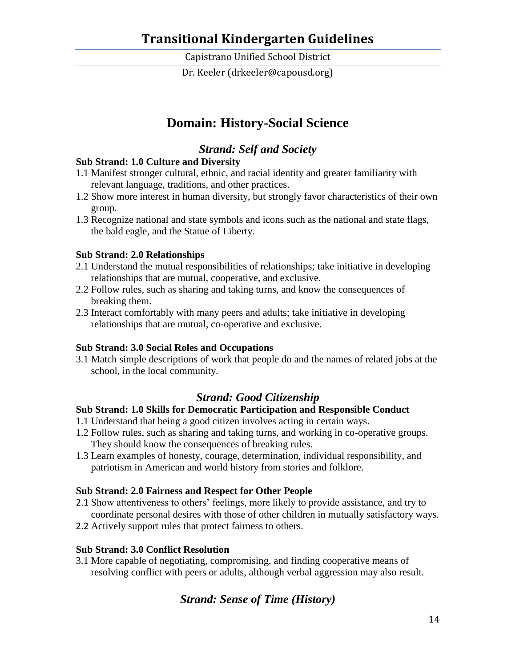Capistrano Unified School District

Dr. Keeler (drkeeler@capousd.org)

## **Domain: History-Social Science**

## *Strand: Self and Society*

#### **Sub Strand: 1.0 Culture and Diversity**

- 1.1 Manifest stronger cultural, ethnic, and racial identity and greater familiarity with relevant language, traditions, and other practices.
- 1.2 Show more interest in human diversity, but strongly favor characteristics of their own group.
- 1.3 Recognize national and state symbols and icons such as the national and state flags, the bald eagle, and the Statue of Liberty.

#### **Sub Strand: 2.0 Relationships**

- 2.1 Understand the mutual responsibilities of relationships; take initiative in developing relationships that are mutual, cooperative, and exclusive.
- 2.2 Follow rules, such as sharing and taking turns, and know the consequences of breaking them.
- 2.3 Interact comfortably with many peers and adults; take initiative in developing relationships that are mutual, co-operative and exclusive.

#### **Sub Strand: 3.0 Social Roles and Occupations**

3.1 Match simple descriptions of work that people do and the names of related jobs at the school, in the local community.

### *Strand: Good Citizenship*

#### **Sub Strand: 1.0 Skills for Democratic Participation and Responsible Conduct**

- 1.1 Understand that being a good citizen involves acting in certain ways.
- 1.2 Follow rules, such as sharing and taking turns, and working in co-operative groups. They should know the consequences of breaking rules.
- 1.3 Learn examples of honesty, courage, determination, individual responsibility, and patriotism in American and world history from stories and folklore.

#### **Sub Strand: 2.0 Fairness and Respect for Other People**

- 2.1 Show attentiveness to others' feelings, more likely to provide assistance, and try to coordinate personal desires with those of other children in mutually satisfactory ways.
- 2.2 Actively support rules that protect fairness to others.

#### **Sub Strand: 3.0 Conflict Resolution**

3.1 More capable of negotiating, compromising, and finding cooperative means of resolving conflict with peers or adults, although verbal aggression may also result.

## *Strand: Sense of Time (History)*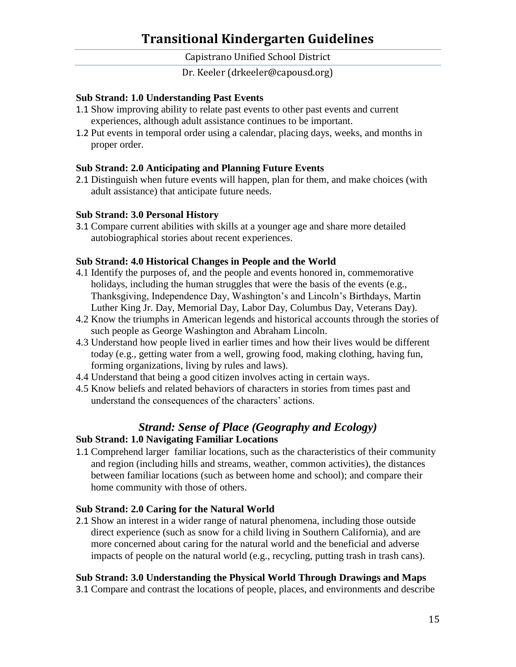Capistrano Unified School District

Dr. Keeler (drkeeler@capousd.org)

#### **Sub Strand: 1.0 Understanding Past Events**

- 1.1 Show improving ability to relate past events to other past events and current experiences, although adult assistance continues to be important.
- 1.2 Put events in temporal order using a calendar, placing days, weeks, and months in proper order.

#### **Sub Strand: 2.0 Anticipating and Planning Future Events**

2.1 Distinguish when future events will happen, plan for them, and make choices (with adult assistance) that anticipate future needs.

#### **Sub Strand: 3.0 Personal History**

3.1 Compare current abilities with skills at a younger age and share more detailed autobiographical stories about recent experiences.

#### **Sub Strand: 4.0 Historical Changes in People and the World**

- 4.1 Identify the purposes of, and the people and events honored in, commemorative holidays, including the human struggles that were the basis of the events (e.g., Thanksgiving, Independence Day, Washington's and Lincoln's Birthdays, Martin Luther King Jr. Day, Memorial Day, Labor Day, Columbus Day, Veterans Day).
- 4.2 Know the triumphs in American legends and historical accounts through the stories of such people as George Washington and Abraham Lincoln.
- 4.3 Understand how people lived in earlier times and how their lives would be different today (e.g., getting water from a well, growing food, making clothing, having fun, forming organizations, living by rules and laws).
- 4.4 Understand that being a good citizen involves acting in certain ways.
- 4.5 Know beliefs and related behaviors of characters in stories from times past and understand the consequences of the characters' actions.

# *Strand: Sense of Place (Geography and Ecology)*

#### **Sub Strand: 1.0 Navigating Familiar Locations**

1.1 Comprehend larger familiar locations, such as the characteristics of their community and region (including hills and streams, weather, common activities), the distances between familiar locations (such as between home and school); and compare their home community with those of others.

#### **Sub Strand: 2.0 Caring for the Natural World**

2.1 Show an interest in a wider range of natural phenomena, including those outside direct experience (such as snow for a child living in Southern California), and are more concerned about caring for the natural world and the beneficial and adverse impacts of people on the natural world (e.g., recycling, putting trash in trash cans).

#### **Sub Strand: 3.0 Understanding the Physical World Through Drawings and Maps**

3.1 Compare and contrast the locations of people, places, and environments and describe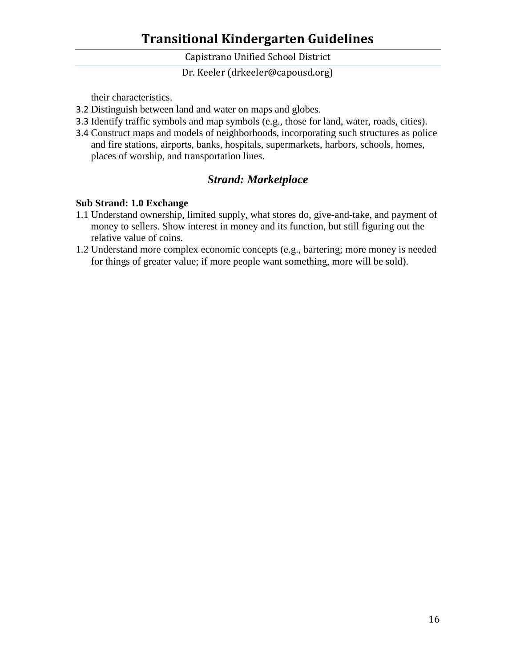Capistrano Unified School District

Dr. Keeler (drkeeler@capousd.org)

their characteristics.

- 3.2 Distinguish between land and water on maps and globes.
- 3.3 Identify traffic symbols and map symbols (e.g., those for land, water, roads, cities).
- 3.4 Construct maps and models of neighborhoods, incorporating such structures as police and fire stations, airports, banks, hospitals, supermarkets, harbors, schools, homes, places of worship, and transportation lines.

## *Strand: Marketplace*

#### **Sub Strand: 1.0 Exchange**

- 1.1 Understand ownership, limited supply, what stores do, give-and-take, and payment of money to sellers. Show interest in money and its function, but still figuring out the relative value of coins.
- 1.2 Understand more complex economic concepts (e.g., bartering; more money is needed for things of greater value; if more people want something, more will be sold).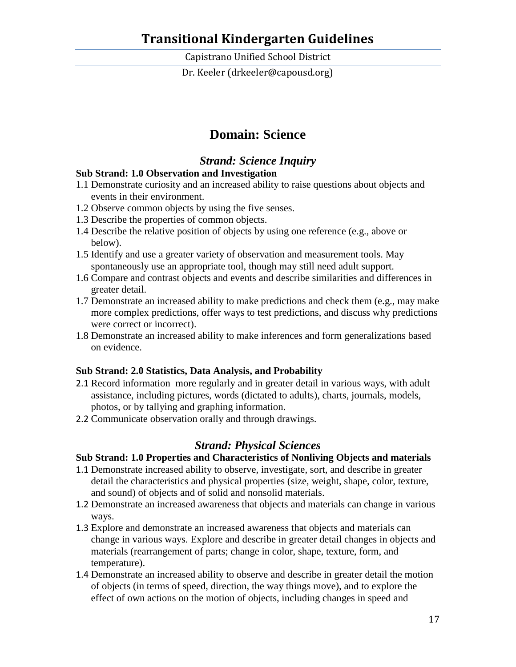Capistrano Unified School District

Dr. Keeler (drkeeler@capousd.org)

# **Domain: Science**

## *Strand: Science Inquiry*

### **Sub Strand: 1.0 Observation and Investigation**

- 1.1 Demonstrate curiosity and an increased ability to raise questions about objects and events in their environment.
- 1.2 Observe common objects by using the five senses.
- 1.3 Describe the properties of common objects.
- 1.4 Describe the relative position of objects by using one reference (e.g., above or below).
- 1.5 Identify and use a greater variety of observation and measurement tools. May spontaneously use an appropriate tool, though may still need adult support.
- 1.6 Compare and contrast objects and events and describe similarities and differences in greater detail.
- 1.7 Demonstrate an increased ability to make predictions and check them (e.g., may make more complex predictions, offer ways to test predictions, and discuss why predictions were correct or incorrect).
- 1.8 Demonstrate an increased ability to make inferences and form generalizations based on evidence.

#### **Sub Strand: 2.0 Statistics, Data Analysis, and Probability**

- 2.1 Record information more regularly and in greater detail in various ways, with adult assistance, including pictures, words (dictated to adults), charts, journals, models, photos, or by tallying and graphing information.
- 2.2 Communicate observation orally and through drawings.

### *Strand: Physical Sciences*

#### **Sub Strand: 1.0 Properties and Characteristics of Nonliving Objects and materials**

- 1.1 Demonstrate increased ability to observe, investigate, sort, and describe in greater detail the characteristics and physical properties (size, weight, shape, color, texture, and sound) of objects and of solid and nonsolid materials.
- 1.2 Demonstrate an increased awareness that objects and materials can change in various ways.
- 1.3 Explore and demonstrate an increased awareness that objects and materials can change in various ways. Explore and describe in greater detail changes in objects and materials (rearrangement of parts; change in color, shape, texture, form, and temperature).
- 1.4 Demonstrate an increased ability to observe and describe in greater detail the motion of objects (in terms of speed, direction, the way things move), and to explore the effect of own actions on the motion of objects, including changes in speed and